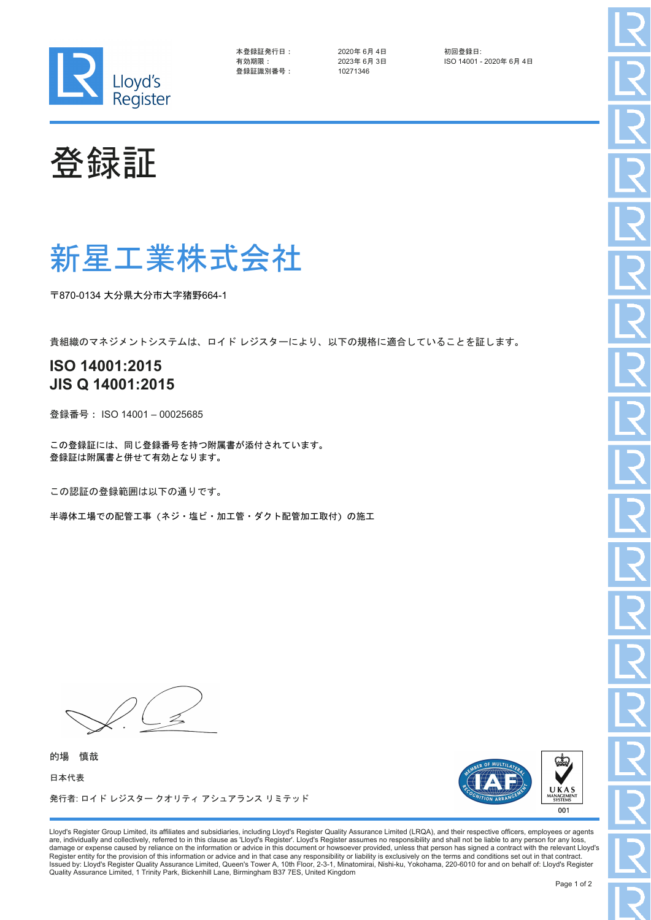

| 本登録証発行日: |  |
|----------|--|
| 有効期限:    |  |
| 登録証識別番号: |  |

2020年 6月 4日 初回登録日:<br>2023年 6月 3日 - ISO 14001 -登録証識別番号: 10271346

ISO 14001 - 2020年 6月 4日

登録証

## 新星工業株式会社

〒870-0134 大分県大分市大字猪野664-1

貴組織のマネジメントシステムは、ロイド レジスターにより、以下の規格に適合していることを証します。

## **ISO 14001:2015 JIS Q 14001:2015**

登録番号: ISO 14001 – 00025685

この登録証には、同じ登録番号を持つ附属書が添付されています。 登録証は附属書と併せて有効となります。

この認証の登録範囲は以下の通りです。

半導体工場での配管工事(ネジ・塩ビ・加工管・ダクト配管加工取付)の施工

的場 慎哉 日本代表 発行者: ロイド レジスター クオリティ アシュアランス リミテッド



Lloyd's Register Group Limited, its affiliates and subsidiaries, including Lloyd's Register Quality Assurance Limited (LRQA), and their respective officers, employees or agents are, individually and collectively, referred to in this clause as 'Lloyd's Register'. Lloyd's Register assumes no responsibility and shall not be liable to any person for any loss, damage or expense caused by reliance on the information or advice in this document or howsoever provided, unless that person has signed a contract with the relevant Lloyd's<br>Register entity for the provision of this informa Quality Assurance Limited, 1 Trinity Park, Bickenhill Lane, Birmingham B37 7ES, United Kingdom